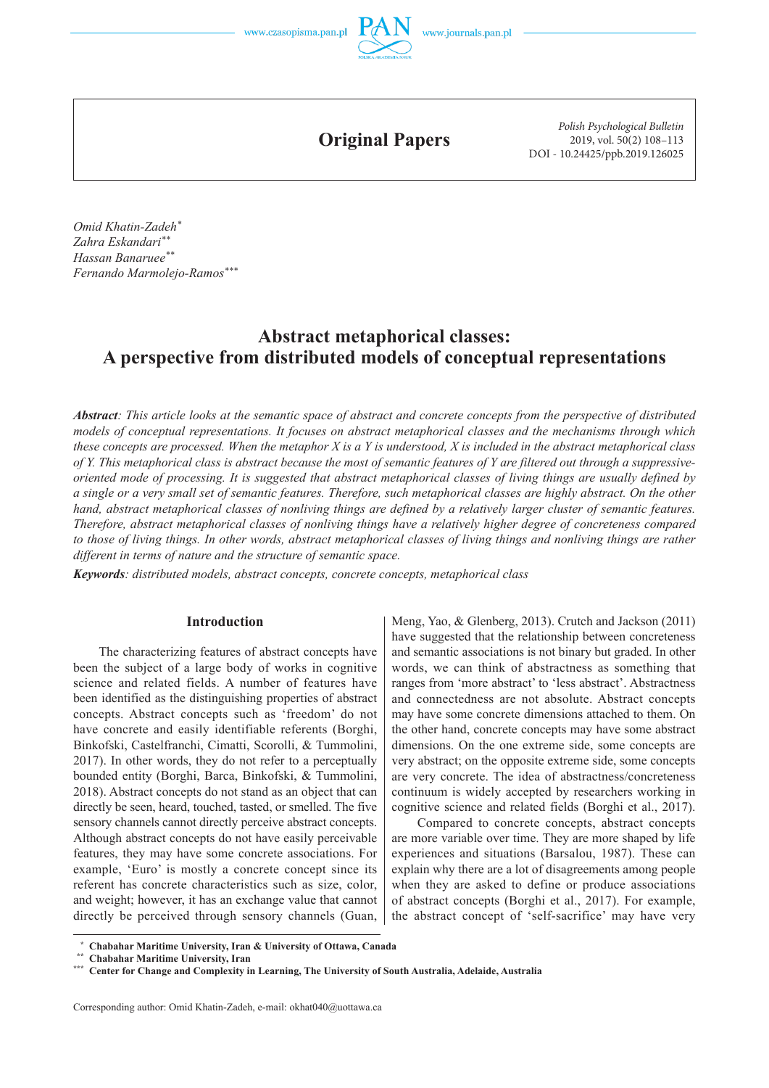

**Original Papers**

*Polish Psychological Bulletin* 2019, vol. 50(2) 108–113 DOI - 10.24425/ppb.2019.126025

*Omid Khatin-Zadeh\* Zahra Eskandari\*\* Hassan Banaruee\*\* Fernando Marmolejo-Ramos\*\*\**

# **Abstract metaphorical classes: A perspective from distributed models of conceptual representations**

*Abstract: This article looks at the semantic space of abstract and concrete concepts from the perspective of distributed models of conceptual representations. It focuses on abstract metaphorical classes and the mechanisms through which these concepts are processed. When the metaphor X is a Y is understood, X is included in the abstract metaphorical class of Y. This metaphorical class is abstract because the most of semantic features of Y are filtered out through a suppressiveoriented mode of processing. It is suggested that abstract metaphorical classes of living things are usually defined by a single or a very small set of semantic features. Therefore, such metaphorical classes are highly abstract. On the other hand, abstract metaphorical classes of nonliving things are defined by a relatively larger cluster of semantic features. Therefore, abstract metaphorical classes of nonliving things have a relatively higher degree of concreteness compared to those of living things. In other words, abstract metaphorical classes of living things and nonliving things are rather different in terms of nature and the structure of semantic space.*

*Keywords: distributed models, abstract concepts, concrete concepts, metaphorical class*

#### **Introduction**

The characterizing features of abstract concepts have been the subject of a large body of works in cognitive science and related fields. A number of features have been identified as the distinguishing properties of abstract concepts. Abstract concepts such as 'freedom' do not have concrete and easily identifiable referents (Borghi, Binkofski, Castelfranchi, Cimatti, Scorolli, & Tummolini, 2017). In other words, they do not refer to a perceptually bounded entity (Borghi, Barca, Binkofski, & Tummolini, 2018). Abstract concepts do not stand as an object that can directly be seen, heard, touched, tasted, or smelled. The five sensory channels cannot directly perceive abstract concepts. Although abstract concepts do not have easily perceivable features, they may have some concrete associations. For example, 'Euro' is mostly a concrete concept since its referent has concrete characteristics such as size, color, and weight; however, it has an exchange value that cannot directly be perceived through sensory channels (Guan,

Meng, Yao, & Glenberg, 2013). Crutch and Jackson (2011) have suggested that the relationship between concreteness and semantic associations is not binary but graded. In other words, we can think of abstractness as something that ranges from 'more abstract' to 'less abstract'. Abstractness and connectedness are not absolute. Abstract concepts may have some concrete dimensions attached to them. On the other hand, concrete concepts may have some abstract dimensions. On the one extreme side, some concepts are very abstract; on the opposite extreme side, some concepts are very concrete. The idea of abstractness/concreteness continuum is widely accepted by researchers working in cognitive science and related fields (Borghi et al., 2017).

Compared to concrete concepts, abstract concepts are more variable over time. They are more shaped by life experiences and situations (Barsalou, 1987). These can explain why there are a lot of disagreements among people when they are asked to define or produce associations of abstract concepts (Borghi et al., 2017). For example, the abstract concept of 'self-sacrifice' may have very

 **<sup>\*</sup> Chabahar Maritime University, Iran & University of Ottawa, Canada \*\* Chabahar Maritime University, Iran**

**<sup>\*\*\*</sup> Center for Change and Complexity in Learning, The University of South Australia, Adelaide, Australia**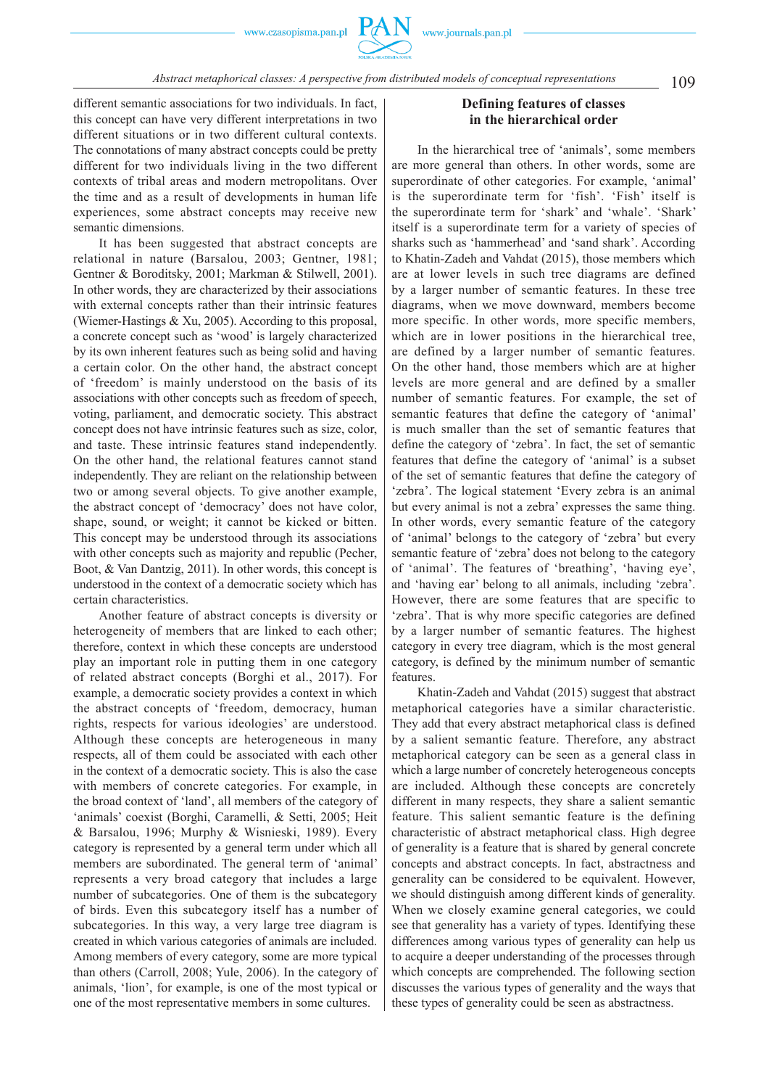

109 *Abstract metaphorical classes: A perspective from distributed models of conceptual representations*

different semantic associations for two individuals. In fact, this concept can have very different interpretations in two different situations or in two different cultural contexts. The connotations of many abstract concepts could be pretty different for two individuals living in the two different contexts of tribal areas and modern metropolitans. Over the time and as a result of developments in human life experiences, some abstract concepts may receive new semantic dimensions.

It has been suggested that abstract concepts are relational in nature (Barsalou, 2003; Gentner, 1981; Gentner & Boroditsky, 2001; Markman & Stilwell, 2001). In other words, they are characterized by their associations with external concepts rather than their intrinsic features (Wiemer-Hastings & Xu, 2005). According to this proposal, a concrete concept such as 'wood' is largely characterized by its own inherent features such as being solid and having a certain color. On the other hand, the abstract concept of 'freedom' is mainly understood on the basis of its associations with other concepts such as freedom of speech, voting, parliament, and democratic society. This abstract concept does not have intrinsic features such as size, color, and taste. These intrinsic features stand independently. On the other hand, the relational features cannot stand independently. They are reliant on the relationship between two or among several objects. To give another example, the abstract concept of 'democracy' does not have color, shape, sound, or weight; it cannot be kicked or bitten. This concept may be understood through its associations with other concepts such as majority and republic (Pecher, Boot, & Van Dantzig, 2011). In other words, this concept is understood in the context of a democratic society which has certain characteristics.

Another feature of abstract concepts is diversity or heterogeneity of members that are linked to each other; therefore, context in which these concepts are understood play an important role in putting them in one category of related abstract concepts (Borghi et al., 2017). For example, a democratic society provides a context in which the abstract concepts of 'freedom, democracy, human rights, respects for various ideologies' are understood. Although these concepts are heterogeneous in many respects, all of them could be associated with each other in the context of a democratic society. This is also the case with members of concrete categories. For example, in the broad context of 'land', all members of the category of 'animals' coexist (Borghi, Caramelli, & Setti, 2005; Heit & Barsalou, 1996; Murphy & Wisnieski, 1989). Every category is represented by a general term under which all members are subordinated. The general term of 'animal' represents a very broad category that includes a large number of subcategories. One of them is the subcategory of birds. Even this subcategory itself has a number of subcategories. In this way, a very large tree diagram is created in which various categories of animals are included. Among members of every category, some are more typical than others (Carroll, 2008; Yule, 2006). In the category of animals, 'lion', for example, is one of the most typical or one of the most representative members in some cultures.

# **Defining features of classes in the hierarchical order**

In the hierarchical tree of 'animals', some members are more general than others. In other words, some are superordinate of other categories. For example, 'animal' is the superordinate term for 'fish'. 'Fish' itself is the superordinate term for 'shark' and 'whale'. 'Shark' itself is a superordinate term for a variety of species of sharks such as 'hammerhead' and 'sand shark'. According to Khatin-Zadeh and Vahdat (2015), those members which are at lower levels in such tree diagrams are defined by a larger number of semantic features. In these tree diagrams, when we move downward, members become more specific. In other words, more specific members, which are in lower positions in the hierarchical tree, are defined by a larger number of semantic features. On the other hand, those members which are at higher levels are more general and are defined by a smaller number of semantic features. For example, the set of semantic features that define the category of 'animal' is much smaller than the set of semantic features that define the category of 'zebra'. In fact, the set of semantic features that define the category of 'animal' is a subset of the set of semantic features that define the category of 'zebra'. The logical statement 'Every zebra is an animal but every animal is not a zebra' expresses the same thing. In other words, every semantic feature of the category of 'animal' belongs to the category of 'zebra' but every semantic feature of 'zebra' does not belong to the category of 'animal'. The features of 'breathing', 'having eye', and 'having ear' belong to all animals, including 'zebra'. However, there are some features that are specific to 'zebra'. That is why more specific categories are defined by a larger number of semantic features. The highest category in every tree diagram, which is the most general category, is defined by the minimum number of semantic features.

Khatin-Zadeh and Vahdat (2015) suggest that abstract metaphorical categories have a similar characteristic. They add that every abstract metaphorical class is defined by a salient semantic feature. Therefore, any abstract metaphorical category can be seen as a general class in which a large number of concretely heterogeneous concepts are included. Although these concepts are concretely different in many respects, they share a salient semantic feature. This salient semantic feature is the defining characteristic of abstract metaphorical class. High degree of generality is a feature that is shared by general concrete concepts and abstract concepts. In fact, abstractness and generality can be considered to be equivalent. However, we should distinguish among different kinds of generality. When we closely examine general categories, we could see that generality has a variety of types. Identifying these differences among various types of generality can help us to acquire a deeper understanding of the processes through which concepts are comprehended. The following section discusses the various types of generality and the ways that these types of generality could be seen as abstractness.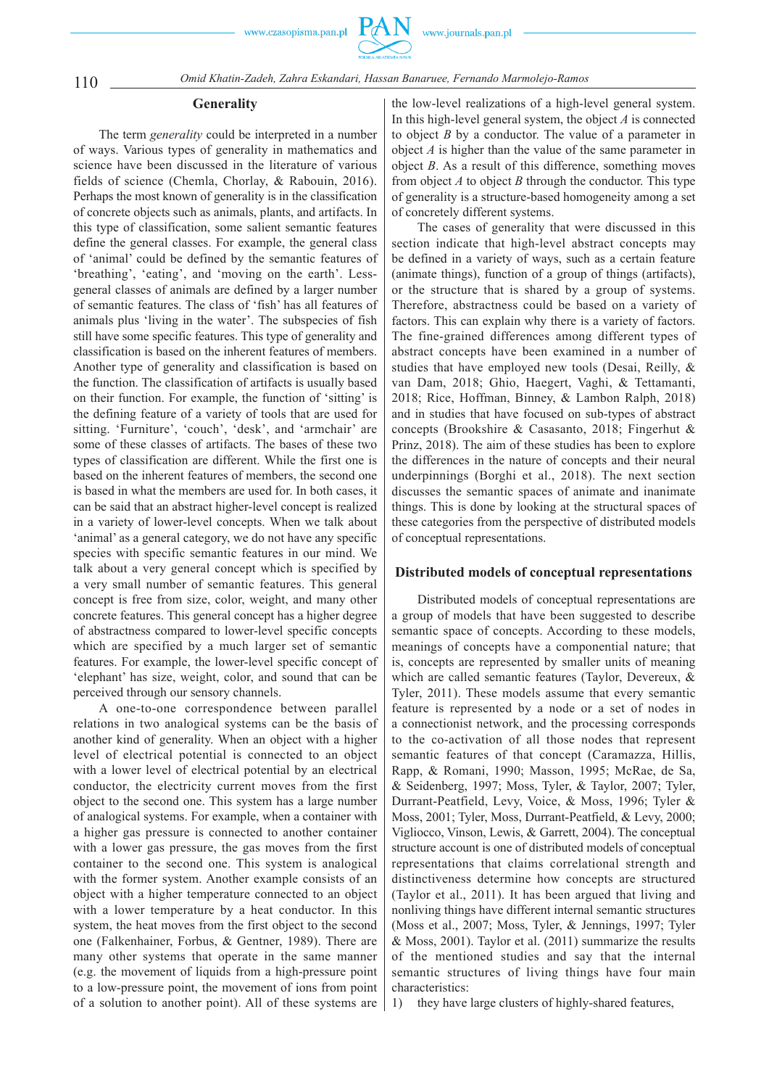

110 *Omid Khatin-Zadeh, Zahra Eskandari, Hassan Banaruee, Fernando Marmolejo-Ramos*

#### **Generality**

The term *generality* could be interpreted in a number of ways. Various types of generality in mathematics and science have been discussed in the literature of various fields of science (Chemla, Chorlay, & Rabouin, 2016). Perhaps the most known of generality is in the classification of concrete objects such as animals, plants, and artifacts. In this type of classification, some salient semantic features define the general classes. For example, the general class of 'animal' could be defined by the semantic features of 'breathing', 'eating', and 'moving on the earth'. Lessgeneral classes of animals are defined by a larger number of semantic features. The class of 'fish' has all features of animals plus 'living in the water'. The subspecies of fish still have some specific features. This type of generality and classification is based on the inherent features of members. Another type of generality and classification is based on the function. The classification of artifacts is usually based on their function. For example, the function of 'sitting' is the defining feature of a variety of tools that are used for sitting. 'Furniture', 'couch', 'desk', and 'armchair' are some of these classes of artifacts. The bases of these two types of classification are different. While the first one is based on the inherent features of members, the second one is based in what the members are used for. In both cases, it can be said that an abstract higher-level concept is realized in a variety of lower-level concepts. When we talk about 'animal' as a general category, we do not have any specific species with specific semantic features in our mind. We talk about a very general concept which is specified by a very small number of semantic features. This general concept is free from size, color, weight, and many other concrete features. This general concept has a higher degree of abstractness compared to lower-level specific concepts which are specified by a much larger set of semantic features. For example, the lower-level specific concept of 'elephant' has size, weight, color, and sound that can be perceived through our sensory channels.

A one-to-one correspondence between parallel relations in two analogical systems can be the basis of another kind of generality. When an object with a higher level of electrical potential is connected to an object with a lower level of electrical potential by an electrical conductor, the electricity current moves from the first object to the second one. This system has a large number of analogical systems. For example, when a container with a higher gas pressure is connected to another container with a lower gas pressure, the gas moves from the first container to the second one. This system is analogical with the former system. Another example consists of an object with a higher temperature connected to an object with a lower temperature by a heat conductor. In this system, the heat moves from the first object to the second one (Falkenhainer, Forbus, & Gentner, 1989). There are many other systems that operate in the same manner (e.g. the movement of liquids from a high-pressure point to a low-pressure point, the movement of ions from point of a solution to another point). All of these systems are

the low-level realizations of a high-level general system. In this high-level general system, the object *A* is connected to object *B* by a conductor. The value of a parameter in object *A* is higher than the value of the same parameter in object *B*. As a result of this difference, something moves from object *A* to object *B* through the conductor. This type of generality is a structure-based homogeneity among a set of concretely different systems.

The cases of generality that were discussed in this section indicate that high-level abstract concepts may be defined in a variety of ways, such as a certain feature (animate things), function of a group of things (artifacts), or the structure that is shared by a group of systems. Therefore, abstractness could be based on a variety of factors. This can explain why there is a variety of factors. The fine-grained differences among different types of abstract concepts have been examined in a number of studies that have employed new tools (Desai, Reilly, & van Dam, 2018; Ghio, Haegert, Vaghi, & Tettamanti, 2018; Rice, Hoffman, Binney, & Lambon Ralph, 2018) and in studies that have focused on sub-types of abstract concepts (Brookshire & Casasanto, 2018; Fingerhut & Prinz, 2018). The aim of these studies has been to explore the differences in the nature of concepts and their neural underpinnings (Borghi et al., 2018). The next section discusses the semantic spaces of animate and inanimate things. This is done by looking at the structural spaces of these categories from the perspective of distributed models of conceptual representations.

#### **Distributed models of conceptual representations**

Distributed models of conceptual representations are a group of models that have been suggested to describe semantic space of concepts. According to these models, meanings of concepts have a componential nature; that is, concepts are represented by smaller units of meaning which are called semantic features (Taylor, Devereux, & Tyler, 2011). These models assume that every semantic feature is represented by a node or a set of nodes in a connectionist network, and the processing corresponds to the co-activation of all those nodes that represent semantic features of that concept (Caramazza, Hillis, Rapp, & Romani, 1990; Masson, 1995; McRae, de Sa, & Seidenberg, 1997; Moss, Tyler, & Taylor, 2007; Tyler, Durrant-Peatfield, Levy, Voice, & Moss, 1996; Tyler & Moss, 2001; Tyler, Moss, Durrant-Peatfield, & Levy, 2000; Vigliocco, Vinson, Lewis, & Garrett, 2004). The conceptual structure account is one of distributed models of conceptual representations that claims correlational strength and distinctiveness determine how concepts are structured (Taylor et al., 2011). It has been argued that living and nonliving things have different internal semantic structures (Moss et al., 2007; Moss, Tyler, & Jennings, 1997; Tyler & Moss, 2001). Taylor et al. (2011) summarize the results of the mentioned studies and say that the internal semantic structures of living things have four main characteristics:

1) they have large clusters of highly-shared features,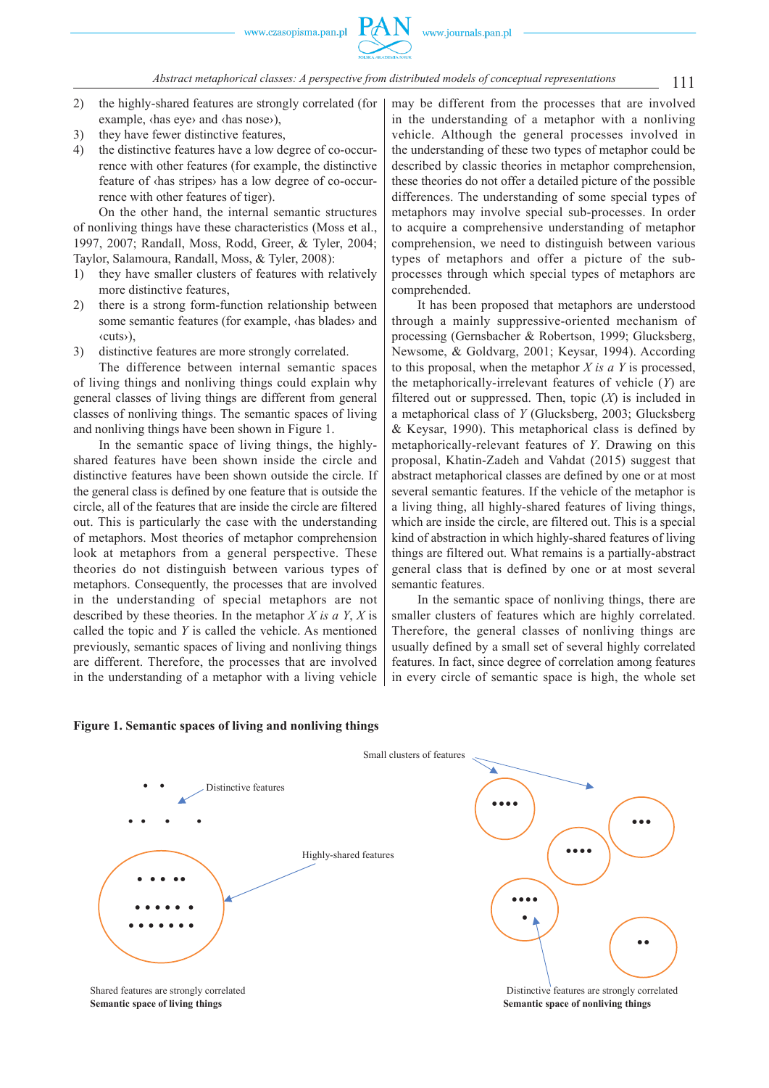### 111 *Abstract metaphorical classes: A perspective from distributed models of conceptual representations*

- 2) the highly-shared features are strongly correlated (for example, ‹has eye› and ‹has nose›),
- 3) they have fewer distinctive features,
- 4) the distinctive features have a low degree of co-occurrence with other features (for example, the distinctive feature of ‹has stripes› has a low degree of co-occurrence with other features of tiger).

On the other hand, the internal semantic structures of nonliving things have these characteristics (Moss et al., 1997, 2007; Randall, Moss, Rodd, Greer, & Tyler, 2004; Taylor, Salamoura, Randall, Moss, & Tyler, 2008):

- 1) they have smaller clusters of features with relatively more distinctive features,
- 2) there is a strong form-function relationship between some semantic features (for example, ‹has blades› and ‹cuts›),
- 3) distinctive features are more strongly correlated.

The difference between internal semantic spaces of living things and nonliving things could explain why general classes of living things are different from general classes of nonliving things. The semantic spaces of living and nonliving things have been shown in Figure 1.

In the semantic space of living things, the highlyshared features have been shown inside the circle and distinctive features have been shown outside the circle. If the general class is defined by one feature that is outside the circle, all of the features that are inside the circle are filtered out. This is particularly the case with the understanding of metaphors. Most theories of metaphor comprehension look at metaphors from a general perspective. These theories do not distinguish between various types of metaphors. Consequently, the processes that are involved in the understanding of special metaphors are not described by these theories. In the metaphor *X is a Y*, *X* is called the topic and *Y* is called the vehicle. As mentioned previously, semantic spaces of living and nonliving things are different. Therefore, the processes that are involved in the understanding of a metaphor with a living vehicle

may be different from the processes that are involved in the understanding of a metaphor with a nonliving vehicle. Although the general processes involved in the understanding of these two types of metaphor could be described by classic theories in metaphor comprehension, these theories do not offer a detailed picture of the possible differences. The understanding of some special types of metaphors may involve special sub-processes. In order to acquire a comprehensive understanding of metaphor comprehension, we need to distinguish between various types of metaphors and offer a picture of the subprocesses through which special types of metaphors are comprehended.

It has been proposed that metaphors are understood through a mainly suppressive-oriented mechanism of processing (Gernsbacher & Robertson, 1999; Glucksberg, Newsome, & Goldvarg, 2001; Keysar, 1994). According to this proposal, when the metaphor *X is a Y* is processed, the metaphorically-irrelevant features of vehicle (*Y*) are filtered out or suppressed. Then, topic (*X*) is included in a metaphorical class of *Y* (Glucksberg, 2003; Glucksberg & Keysar, 1990). This metaphorical class is defined by metaphorically-relevant features of *Y*. Drawing on this proposal, Khatin-Zadeh and Vahdat (2015) suggest that abstract metaphorical classes are defined by one or at most several semantic features. If the vehicle of the metaphor is a living thing, all highly-shared features of living things, which are inside the circle, are filtered out. This is a special kind of abstraction in which highly-shared features of living things are filtered out. What remains is a partially-abstract general class that is defined by one or at most several semantic features.

In the semantic space of nonliving things, there are smaller clusters of features which are highly correlated. Therefore, the general classes of nonliving things are usually defined by a small set of several highly correlated features. In fact, since degree of correlation among features in every circle of semantic space is high, the whole set





**6HPD** Semantic space of living things **6HPD**  $\alpha$  **6HP**  $\alpha$  **6HP**  $\alpha$  **6HP**  $\alpha$  **6HP**  $\alpha$  **6HP**  $\alpha$  **6HP**  $\alpha$  **6HP**  $\alpha$  **6HP**  $\alpha$  **6HP**  $\alpha$  **6HP**  $\alpha$  **6HP**  $\alpha$  **6HP**  $\alpha$  **6HP**  $\alpha$  **6HP**  $\alpha$  **6HP**  $\alpha$  **6HP**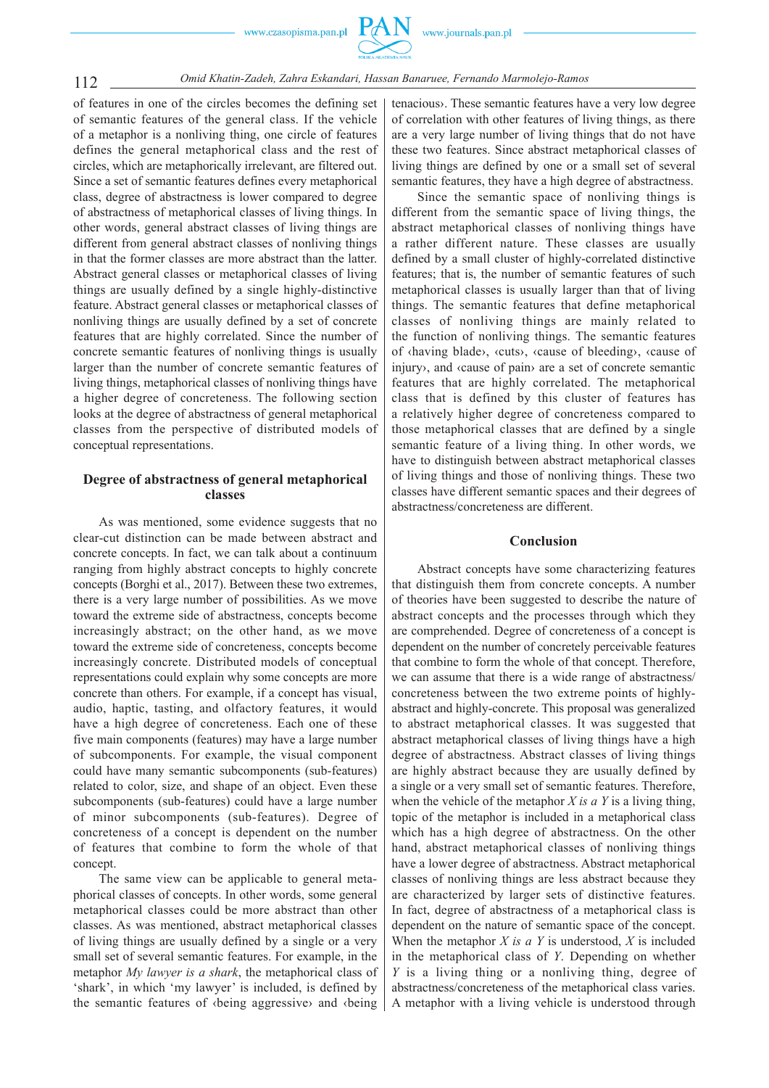

of features in one of the circles becomes the defining set of semantic features of the general class. If the vehicle of a metaphor is a nonliving thing, one circle of features defines the general metaphorical class and the rest of circles, which are metaphorically irrelevant, are filtered out. Since a set of semantic features defines every metaphorical class, degree of abstractness is lower compared to degree of abstractness of metaphorical classes of living things. In other words, general abstract classes of living things are different from general abstract classes of nonliving things in that the former classes are more abstract than the latter. Abstract general classes or metaphorical classes of living things are usually defined by a single highly-distinctive feature. Abstract general classes or metaphorical classes of nonliving things are usually defined by a set of concrete features that are highly correlated. Since the number of concrete semantic features of nonliving things is usually larger than the number of concrete semantic features of living things, metaphorical classes of nonliving things have a higher degree of concreteness. The following section looks at the degree of abstractness of general metaphorical classes from the perspective of distributed models of conceptual representations.

# **Degree of abstractness of general metaphorical classes**

As was mentioned, some evidence suggests that no clear-cut distinction can be made between abstract and concrete concepts. In fact, we can talk about a continuum ranging from highly abstract concepts to highly concrete concepts (Borghi et al., 2017). Between these two extremes, there is a very large number of possibilities. As we move toward the extreme side of abstractness, concepts become increasingly abstract; on the other hand, as we move toward the extreme side of concreteness, concepts become increasingly concrete. Distributed models of conceptual representations could explain why some concepts are more concrete than others. For example, if a concept has visual, audio, haptic, tasting, and olfactory features, it would have a high degree of concreteness. Each one of these five main components (features) may have a large number of subcomponents. For example, the visual component could have many semantic subcomponents (sub-features) related to color, size, and shape of an object. Even these subcomponents (sub-features) could have a large number of minor subcomponents (sub-features). Degree of concreteness of a concept is dependent on the number of features that combine to form the whole of that concept.

The same view can be applicable to general metaphorical classes of concepts. In other words, some general metaphorical classes could be more abstract than other classes. As was mentioned, abstract metaphorical classes of living things are usually defined by a single or a very small set of several semantic features. For example, in the metaphor *My lawyer is a shark*, the metaphorical class of 'shark', in which 'my lawyer' is included, is defined by the semantic features of ‹being aggressive› and ‹being

tenacious›. These semantic features have a very low degree of correlation with other features of living things, as there are a very large number of living things that do not have these two features. Since abstract metaphorical classes of living things are defined by one or a small set of several semantic features, they have a high degree of abstractness.

Since the semantic space of nonliving things is different from the semantic space of living things, the abstract metaphorical classes of nonliving things have a rather different nature. These classes are usually defined by a small cluster of highly-correlated distinctive features; that is, the number of semantic features of such metaphorical classes is usually larger than that of living things. The semantic features that define metaphorical classes of nonliving things are mainly related to the function of nonliving things. The semantic features of ‹having blade›, ‹cuts›, ‹cause of bleeding›, ‹cause of injury›, and ‹cause of pain› are a set of concrete semantic features that are highly correlated. The metaphorical class that is defined by this cluster of features has a relatively higher degree of concreteness compared to those metaphorical classes that are defined by a single semantic feature of a living thing. In other words, we have to distinguish between abstract metaphorical classes of living things and those of nonliving things. These two classes have different semantic spaces and their degrees of abstractness/concreteness are different.

#### **Conclusion**

Abstract concepts have some characterizing features that distinguish them from concrete concepts. A number of theories have been suggested to describe the nature of abstract concepts and the processes through which they are comprehended. Degree of concreteness of a concept is dependent on the number of concretely perceivable features that combine to form the whole of that concept. Therefore, we can assume that there is a wide range of abstractness/ concreteness between the two extreme points of highlyabstract and highly-concrete. This proposal was generalized to abstract metaphorical classes. It was suggested that abstract metaphorical classes of living things have a high degree of abstractness. Abstract classes of living things are highly abstract because they are usually defined by a single or a very small set of semantic features. Therefore, when the vehicle of the metaphor *X is a Y* is a living thing, topic of the metaphor is included in a metaphorical class which has a high degree of abstractness. On the other hand, abstract metaphorical classes of nonliving things have a lower degree of abstractness. Abstract metaphorical classes of nonliving things are less abstract because they are characterized by larger sets of distinctive features. In fact, degree of abstractness of a metaphorical class is dependent on the nature of semantic space of the concept. When the metaphor *X is a Y* is understood, *X* is included in the metaphorical class of *Y*. Depending on whether *Y* is a living thing or a nonliving thing, degree of abstractness/concreteness of the metaphorical class varies. A metaphor with a living vehicle is understood through